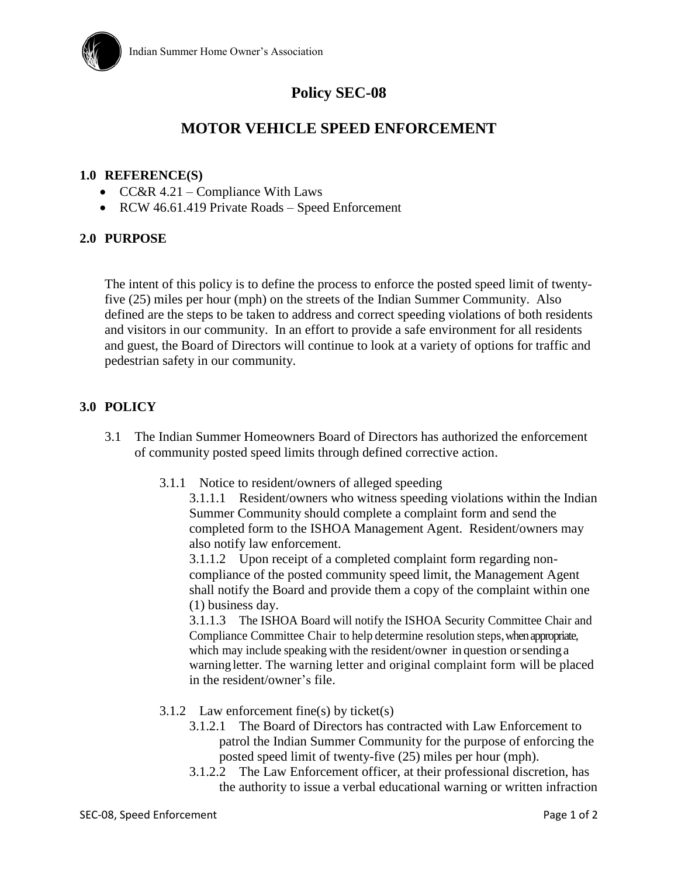

# **Policy SEC-08**

## **MOTOR VEHICLE SPEED ENFORCEMENT**

### **1.0 REFERENCE(S)**

- $CC&R$  4.21 Compliance With Laws
- RCW 46.61.419 Private Roads Speed Enforcement

## **2.0 PURPOSE**

The intent of this policy is to define the process to enforce the posted speed limit of twentyfive (25) miles per hour (mph) on the streets of the Indian Summer Community. Also defined are the steps to be taken to address and correct speeding violations of both residents and visitors in our community. In an effort to provide a safe environment for all residents and guest, the Board of Directors will continue to look at a variety of options for traffic and pedestrian safety in our community.

## **3.0 POLICY**

- 3.1 The Indian Summer Homeowners Board of Directors has authorized the enforcement of community posted speed limits through defined corrective action.
	- 3.1.1 Notice to resident/owners of alleged speeding

3.1.1.1 Resident/owners who witness speeding violations within the Indian Summer Community should complete a complaint form and send the completed form to the ISHOA Management Agent. Resident/owners may also notify law enforcement.

3.1.1.2 Upon receipt of a completed complaint form regarding noncompliance of the posted community speed limit, the Management Agent shall notify the Board and provide them a copy of the complaint within one (1) business day.

3.1.1.3 The ISHOA Board will notify the ISHOA Security Committee Chair and Compliance Committee Chair to help determine resolution steps, when appropriate, which may include speaking with the resident/owner in question or sending a warning letter. The warning letter and original complaint form will be placed in the resident/owner's file.

- 3.1.2 Law enforcement fine(s) by ticket(s)
	- 3.1.2.1 The Board of Directors has contracted with Law Enforcement to patrol the Indian Summer Community for the purpose of enforcing the posted speed limit of twenty-five (25) miles per hour (mph).
	- 3.1.2.2 The Law Enforcement officer, at their professional discretion, has the authority to issue a verbal educational warning or written infraction